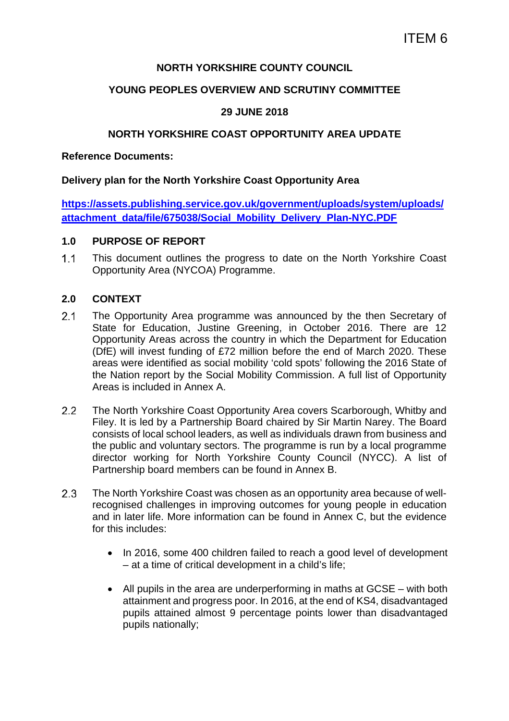## **NORTH YORKSHIRE COUNTY COUNCIL**

### **YOUNG PEOPLES OVERVIEW AND SCRUTINY COMMITTEE**

# **29 JUNE 2018**

### **NORTH YORKSHIRE COAST OPPORTUNITY AREA UPDATE**

**Reference Documents:** 

### **Delivery plan for the North Yorkshire Coast Opportunity Area**

**https://assets.publishing.service.gov.uk/government/uploads/system/uploads/ attachment\_data/file/675038/Social\_Mobility\_Delivery\_Plan-NYC.PDF**

### **1.0 PURPOSE OF REPORT**

 This document outlines the progress to date on the North Yorkshire Coast Opportunity Area (NYCOA) Programme.

### **2.0 CONTEXT**

- 2.1 The Opportunity Area programme was announced by the then Secretary of State for Education, Justine Greening, in October 2016. There are 12 Opportunity Areas across the country in which the Department for Education (DfE) will invest funding of £72 million before the end of March 2020. These areas were identified as social mobility 'cold spots' following the 2016 State of the Nation report by the Social Mobility Commission. A full list of Opportunity Areas is included in Annex A.
- The North Yorkshire Coast Opportunity Area covers Scarborough, Whitby and Filey. It is led by a Partnership Board chaired by Sir Martin Narey. The Board consists of local school leaders, as well as individuals drawn from business and the public and voluntary sectors. The programme is run by a local programme director working for North Yorkshire County Council (NYCC). A list of Partnership board members can be found in Annex B.
- The North Yorkshire Coast was chosen as an opportunity area because of wellrecognised challenges in improving outcomes for young people in education and in later life. More information can be found in Annex C, but the evidence for this includes:
	- In 2016, some 400 children failed to reach a good level of development – at a time of critical development in a child's life;
	- All pupils in the area are underperforming in maths at GCSE with both attainment and progress poor. In 2016, at the end of KS4, disadvantaged pupils attained almost 9 percentage points lower than disadvantaged pupils nationally;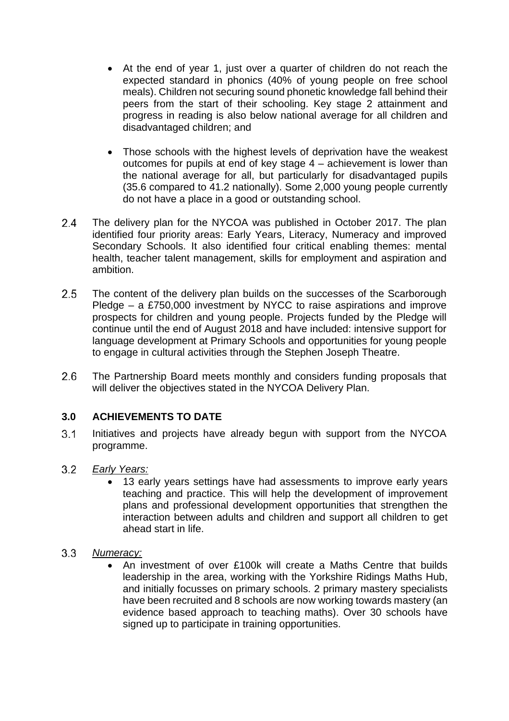- At the end of year 1, just over a quarter of children do not reach the expected standard in phonics (40% of young people on free school meals). Children not securing sound phonetic knowledge fall behind their peers from the start of their schooling. Key stage 2 attainment and progress in reading is also below national average for all children and disadvantaged children; and
- Those schools with the highest levels of deprivation have the weakest outcomes for pupils at end of key stage 4 – achievement is lower than the national average for all, but particularly for disadvantaged pupils (35.6 compared to 41.2 nationally). Some 2,000 young people currently do not have a place in a good or outstanding school.
- The delivery plan for the NYCOA was published in October 2017. The plan identified four priority areas: Early Years, Literacy, Numeracy and improved Secondary Schools. It also identified four critical enabling themes: mental health, teacher talent management, skills for employment and aspiration and ambition.
- 2.5 The content of the delivery plan builds on the successes of the Scarborough Pledge – a £750,000 investment by NYCC to raise aspirations and improve prospects for children and young people. Projects funded by the Pledge will continue until the end of August 2018 and have included: intensive support for language development at Primary Schools and opportunities for young people to engage in cultural activities through the Stephen Joseph Theatre.
- The Partnership Board meets monthly and considers funding proposals that will deliver the objectives stated in the NYCOA Delivery Plan.

# **3.0 ACHIEVEMENTS TO DATE**

- 3.1 Initiatives and projects have already begun with support from the NYCOA programme.
- $3.2$ *Early Years:* 
	- 13 early years settings have had assessments to improve early years teaching and practice. This will help the development of improvement plans and professional development opportunities that strengthen the interaction between adults and children and support all children to get ahead start in life.
- $3.3$ *Numeracy:* 
	- An investment of over £100k will create a Maths Centre that builds leadership in the area, working with the Yorkshire Ridings Maths Hub, and initially focusses on primary schools. 2 primary mastery specialists have been recruited and 8 schools are now working towards mastery (an evidence based approach to teaching maths). Over 30 schools have signed up to participate in training opportunities.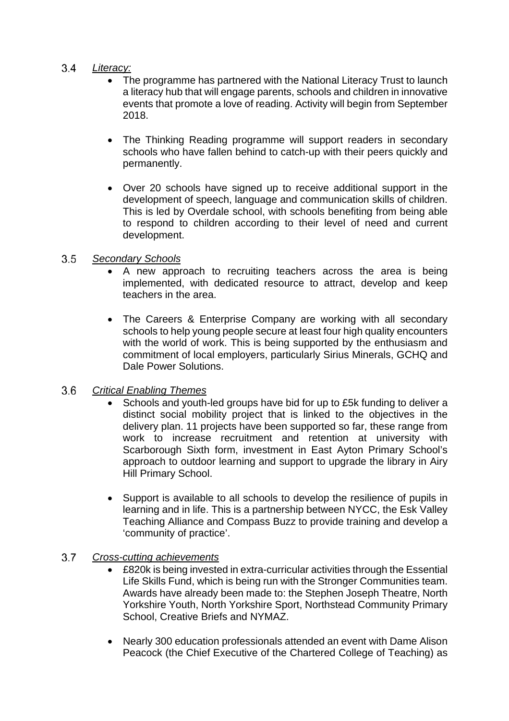# *Literacy:*

- The programme has partnered with the National Literacy Trust to launch a literacy hub that will engage parents, schools and children in innovative events that promote a love of reading. Activity will begin from September 2018.
- The Thinking Reading programme will support readers in secondary schools who have fallen behind to catch-up with their peers quickly and permanently.
- Over 20 schools have signed up to receive additional support in the development of speech, language and communication skills of children. This is led by Overdale school, with schools benefiting from being able to respond to children according to their level of need and current development.

#### $3.5$ *Secondary Schools*

- A new approach to recruiting teachers across the area is being implemented, with dedicated resource to attract, develop and keep teachers in the area.
- The Careers & Enterprise Company are working with all secondary schools to help young people secure at least four high quality encounters with the world of work. This is being supported by the enthusiasm and commitment of local employers, particularly Sirius Minerals, GCHQ and Dale Power Solutions.

#### $3.6$ *Critical Enabling Themes*

- Schools and youth-led groups have bid for up to £5k funding to deliver a distinct social mobility project that is linked to the objectives in the delivery plan. 11 projects have been supported so far, these range from work to increase recruitment and retention at university with Scarborough Sixth form, investment in East Ayton Primary School's approach to outdoor learning and support to upgrade the library in Airy Hill Primary School.
- Support is available to all schools to develop the resilience of pupils in learning and in life. This is a partnership between NYCC, the Esk Valley Teaching Alliance and Compass Buzz to provide training and develop a 'community of practice'.

#### $3.7$ *Cross-cutting achievements*

- £820k is being invested in extra-curricular activities through the Essential Life Skills Fund, which is being run with the Stronger Communities team. Awards have already been made to: the Stephen Joseph Theatre, North Yorkshire Youth, North Yorkshire Sport, Northstead Community Primary School, Creative Briefs and NYMAZ.
- Nearly 300 education professionals attended an event with Dame Alison Peacock (the Chief Executive of the Chartered College of Teaching) as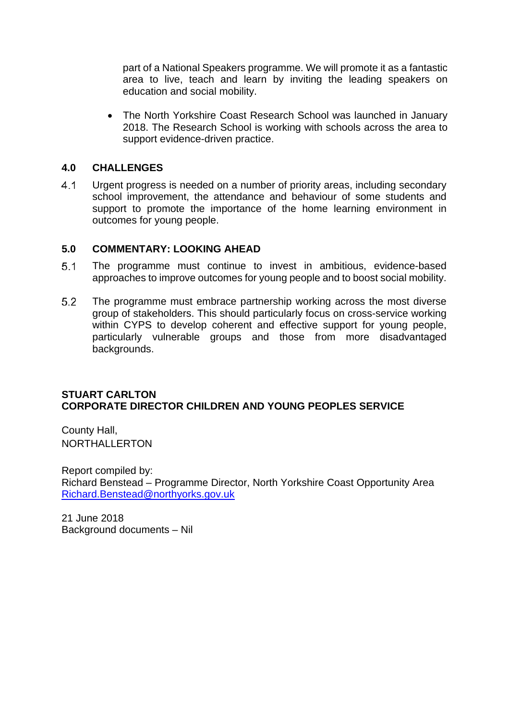part of a National Speakers programme. We will promote it as a fantastic area to live, teach and learn by inviting the leading speakers on education and social mobility.

• The North Yorkshire Coast Research School was launched in January 2018. The Research School is working with schools across the area to support evidence-driven practice.

### **4.0 CHALLENGES**

 Urgent progress is needed on a number of priority areas, including secondary school improvement, the attendance and behaviour of some students and support to promote the importance of the home learning environment in outcomes for young people.

### **5.0 COMMENTARY: LOOKING AHEAD**

- The programme must continue to invest in ambitious, evidence-based approaches to improve outcomes for young people and to boost social mobility.
- The programme must embrace partnership working across the most diverse group of stakeholders. This should particularly focus on cross-service working within CYPS to develop coherent and effective support for young people, particularly vulnerable groups and those from more disadvantaged backgrounds.

### **STUART CARLTON CORPORATE DIRECTOR CHILDREN AND YOUNG PEOPLES SERVICE**

County Hall, NORTHALLERTON

Report compiled by: Richard Benstead – Programme Director, North Yorkshire Coast Opportunity Area Richard.Benstead@northyorks.gov.uk

21 June 2018 Background documents – Nil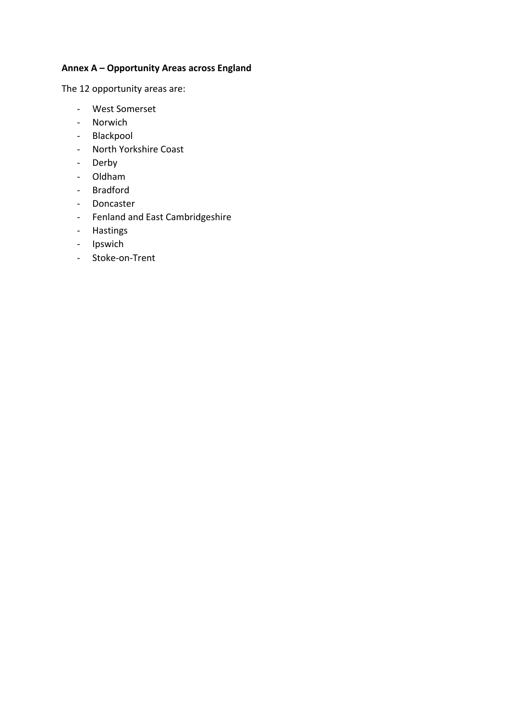## **Annex A – Opportunity Areas across England**

The 12 opportunity areas are:

- ‐ West Somerset
- ‐ Norwich
- ‐ Blackpool
- ‐ North Yorkshire Coast
- ‐ Derby
- ‐ Oldham
- ‐ Bradford
- ‐ Doncaster
- ‐ Fenland and East Cambridgeshire
- ‐ Hastings
- ‐ Ipswich
- ‐ Stoke‐on‐Trent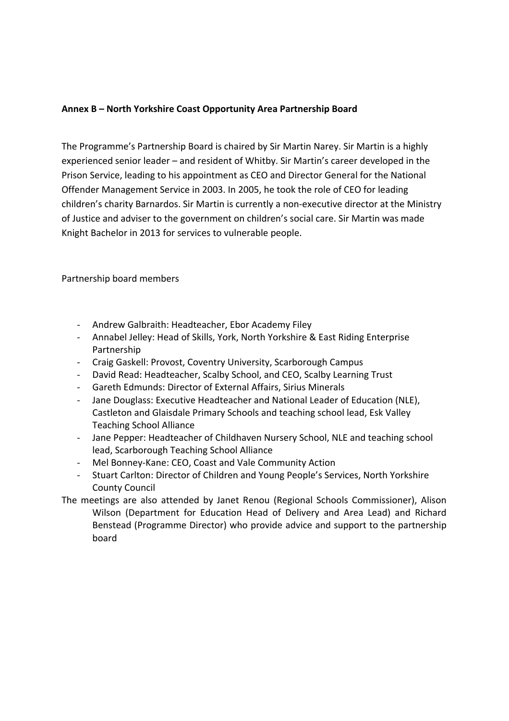### **Annex B – North Yorkshire Coast Opportunity Area Partnership Board**

The Programme's Partnership Board is chaired by Sir Martin Narey. Sir Martin is a highly experienced senior leader – and resident of Whitby. Sir Martin's career developed in the Prison Service, leading to his appointment as CEO and Director General for the National Offender Management Service in 2003. In 2005, he took the role of CEO for leading children's charity Barnardos. Sir Martin is currently a non‐executive director at the Ministry of Justice and adviser to the government on children's social care. Sir Martin was made Knight Bachelor in 2013 for services to vulnerable people.

Partnership board members

- ‐ Andrew Galbraith: Headteacher, Ebor Academy Filey
- ‐ Annabel Jelley: Head of Skills, York, North Yorkshire & East Riding Enterprise Partnership
- ‐ Craig Gaskell: Provost, Coventry University, Scarborough Campus
- ‐ David Read: Headteacher, Scalby School, and CEO, Scalby Learning Trust
- ‐ Gareth Edmunds: Director of External Affairs, Sirius Minerals
- Jane Douglass: Executive Headteacher and National Leader of Education (NLE), Castleton and Glaisdale Primary Schools and teaching school lead, Esk Valley Teaching School Alliance
- ‐ Jane Pepper: Headteacher of Childhaven Nursery School, NLE and teaching school lead, Scarborough Teaching School Alliance
- ‐ Mel Bonney‐Kane: CEO, Coast and Vale Community Action
- ‐ Stuart Carlton: Director of Children and Young People's Services, North Yorkshire County Council
- The meetings are also attended by Janet Renou (Regional Schools Commissioner), Alison Wilson (Department for Education Head of Delivery and Area Lead) and Richard Benstead (Programme Director) who provide advice and support to the partnership board